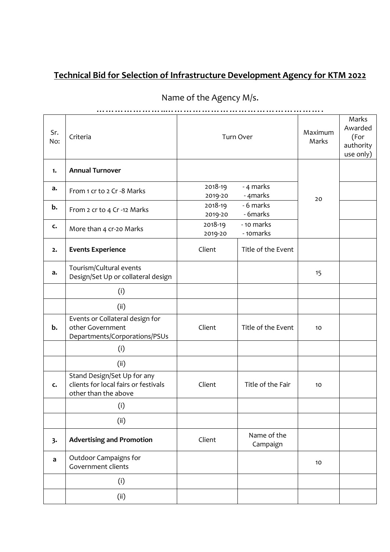| Sr.<br>No: | Criteria                                                                                    |                    | Turn Over               | Maximum<br>Marks | Marks<br>Awarded<br>(For<br>authority<br>use only) |
|------------|---------------------------------------------------------------------------------------------|--------------------|-------------------------|------------------|----------------------------------------------------|
| 1.         | <b>Annual Turnover</b>                                                                      |                    |                         |                  |                                                    |
| a.         | From 1 cr to 2 Cr -8 Marks                                                                  | 2018-19<br>2019-20 | - 4 marks<br>- 4marks   | 20               |                                                    |
| b.         | From 2 cr to 4 Cr -12 Marks                                                                 | 2018-19<br>2019-20 | - 6 marks<br>- 6marks   |                  |                                                    |
| c.         | More than 4 cr-20 Marks                                                                     | 2018-19<br>2019-20 | - 10 marks<br>- 10marks |                  |                                                    |
| 2.         | <b>Events Experience</b>                                                                    | Client             | Title of the Event      |                  |                                                    |
| a.         | Tourism/Cultural events<br>Design/Set Up or collateral design                               |                    |                         | 15               |                                                    |
|            | (i)                                                                                         |                    |                         |                  |                                                    |
|            | (ii)                                                                                        |                    |                         |                  |                                                    |
| b.         | Events or Collateral design for<br>other Government<br>Departments/Corporations/PSUs        | Client             | Title of the Event      | 10               |                                                    |
|            | (i)                                                                                         |                    |                         |                  |                                                    |
|            | (ii)                                                                                        |                    |                         |                  |                                                    |
| c.         | Stand Design/Set Up for any<br>clients for local fairs or festivals<br>other than the above | Client             | Title of the Fair       | 10               |                                                    |
|            | (i)                                                                                         |                    |                         |                  |                                                    |
|            | (ii)                                                                                        |                    |                         |                  |                                                    |
| 3.         | <b>Advertising and Promotion</b>                                                            | Client             | Name of the<br>Campaign |                  |                                                    |
| a          | Outdoor Campaigns for<br>Government clients                                                 |                    |                         | 10               |                                                    |
|            | (i)                                                                                         |                    |                         |                  |                                                    |
|            | (ii)                                                                                        |                    |                         |                  |                                                    |

## Name of the Agency M/s.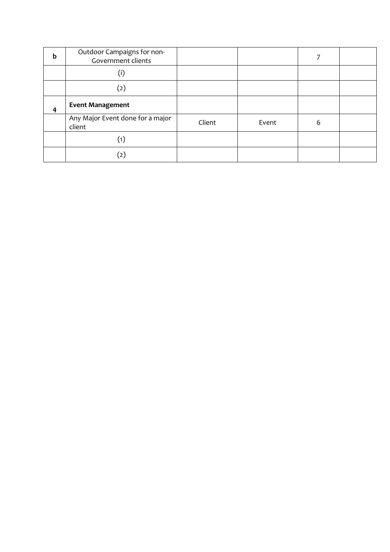| b | Outdoor Campaigns for non-<br>Government clients |        |       |   |  |
|---|--------------------------------------------------|--------|-------|---|--|
|   | (i)                                              |        |       |   |  |
|   | (2)                                              |        |       |   |  |
| 4 | <b>Event Management</b>                          |        |       |   |  |
|   | Any Major Event done for a major<br>client       | Client | Event | 6 |  |
|   |                                                  |        |       |   |  |
|   | $\left( 2\right)$                                |        |       |   |  |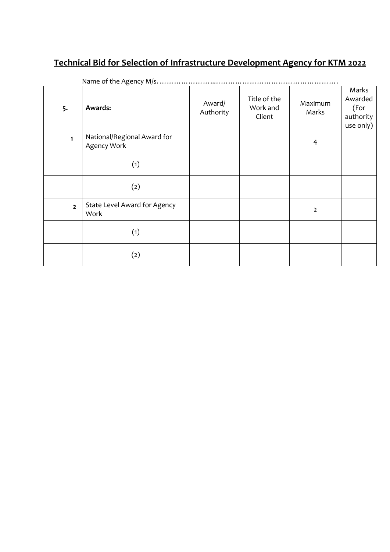|                | reality of the Agency <i>information</i>   |                     |                                    |                  |                                                    |
|----------------|--------------------------------------------|---------------------|------------------------------------|------------------|----------------------------------------------------|
| 5.             | <b>Awards:</b>                             | Award/<br>Authority | Title of the<br>Work and<br>Client | Maximum<br>Marks | Marks<br>Awarded<br>(For<br>authority<br>use only) |
| $\mathbf{1}$   | National/Regional Award for<br>Agency Work |                     |                                    | 4                |                                                    |
|                | (1)                                        |                     |                                    |                  |                                                    |
|                | (2)                                        |                     |                                    |                  |                                                    |
| $\overline{2}$ | State Level Award for Agency<br>Work       |                     |                                    | $\overline{2}$   |                                                    |
|                | (1)                                        |                     |                                    |                  |                                                    |
|                | (2)                                        |                     |                                    |                  |                                                    |

Name of the Agency M/s.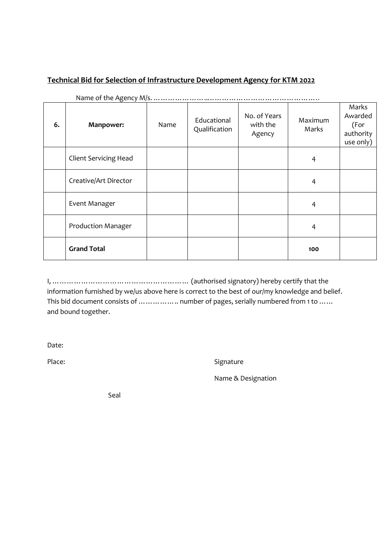| 6. | Manpower:                    | Name | Educational<br>Qualification | No. of Years<br>with the<br>Agency | Maximum<br>Marks | Marks<br>Awarded<br>(For<br>authority<br>use only) |
|----|------------------------------|------|------------------------------|------------------------------------|------------------|----------------------------------------------------|
|    | <b>Client Servicing Head</b> |      |                              |                                    | 4                |                                                    |
|    | Creative/Art Director        |      |                              |                                    | 4                |                                                    |
|    | Event Manager                |      |                              |                                    | 4                |                                                    |
|    | <b>Production Manager</b>    |      |                              |                                    | 4                |                                                    |
|    | <b>Grand Total</b>           |      |                              |                                    | 100              |                                                    |

I, ………………………………………………… (authorised signatory) hereby certify that the information furnished by we/us above here is correct to the best of our/my knowledge and belief. This bid document consists of ... ... ... ... ... number of pages, serially numbered from 1 to ... ... and bound together.

Date:

Place: Signature Signature

Name & Designation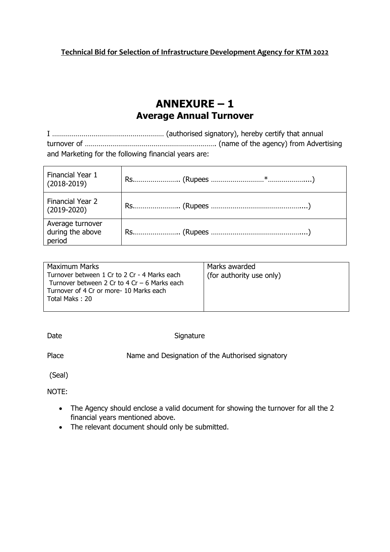### **ANNEXURE – 1 Average Annual Turnover**

I ………………………………………………… (authorised signatory), hereby certify that annual turnover of …………………………………………………………. (name of the agency) from Advertising and Marketing for the following financial years are:

| Financial Year 1<br>$(2018-2019)$              |  |
|------------------------------------------------|--|
| Financial Year 2<br>$(2019 - 2020)$            |  |
| Average turnover<br>during the above<br>period |  |

| <b>Maximum Marks</b>                           | Marks awarded            |
|------------------------------------------------|--------------------------|
| Turnover between 1 Cr to 2 Cr - 4 Marks each   | (for authority use only) |
| Turnover between 2 Cr to 4 Cr $-$ 6 Marks each |                          |
| Turnover of 4 Cr or more- 10 Marks each        |                          |
| Total Maks: 20                                 |                          |
|                                                |                          |

Date Signature

Place Name and Designation of the Authorised signatory

(Seal)

NOTE:

- The Agency should enclose a valid document for showing the turnover for all the 2 financial years mentioned above.
- The relevant document should only be submitted.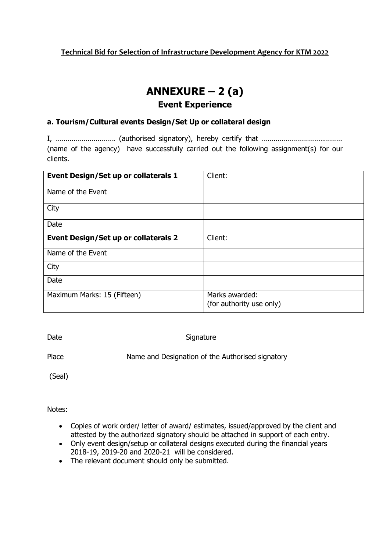# **ANNEXURE – 2 (a)**

#### **Event Experience**

#### **a. Tourism/Cultural events Design/Set Up or collateral design**

I, ………..………………. (authorised signatory), hereby certify that …………………………..……… (name of the agency) have successfully carried out the following assignment(s) for our clients.

| Event Design/Set up or collaterals 1        | Client:                                    |
|---------------------------------------------|--------------------------------------------|
| Name of the Event                           |                                            |
| City                                        |                                            |
| Date                                        |                                            |
| <b>Event Design/Set up or collaterals 2</b> | Client:                                    |
| Name of the Event                           |                                            |
| City                                        |                                            |
| Date                                        |                                            |
| Maximum Marks: 15 (Fifteen)                 | Marks awarded:<br>(for authority use only) |

Date Signature

Place Name and Designation of the Authorised signatory

(Seal)

- Copies of work order/ letter of award/ estimates, issued/approved by the client and attested by the authorized signatory should be attached in support of each entry.
- Only event design/setup or collateral designs executed during the financial years 2018-19, 2019-20 and 2020-21 will be considered.
- The relevant document should only be submitted.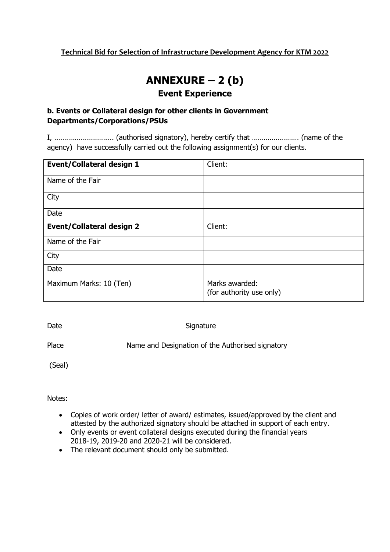## **ANNEXURE – 2 (b) Event Experience**

#### **b. Events or Collateral design for other clients in Government Departments/Corporations/PSUs**

I, ………..………………. (authorised signatory), hereby certify that …………………… (name of the agency) have successfully carried out the following assignment(s) for our clients.

| <b>Event/Collateral design 1</b> | Client:                                    |
|----------------------------------|--------------------------------------------|
| Name of the Fair                 |                                            |
| City                             |                                            |
| Date                             |                                            |
| <b>Event/Collateral design 2</b> | Client:                                    |
| Name of the Fair                 |                                            |
| City                             |                                            |
| Date                             |                                            |
| Maximum Marks: 10 (Ten)          | Marks awarded:<br>(for authority use only) |

Date Signature

Place Name and Designation of the Authorised signatory

(Seal)

- Copies of work order/ letter of award/ estimates, issued/approved by the client and attested by the authorized signatory should be attached in support of each entry.
- Only events or event collateral designs executed during the financial years 2018-19, 2019-20 and 2020-21 will be considered.
- The relevant document should only be submitted.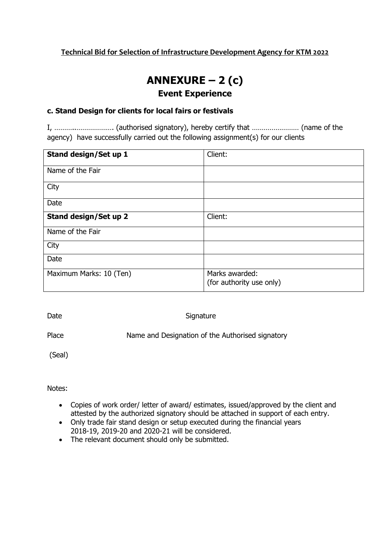## **ANNEXURE – 2 (c) Event Experience**

#### **c. Stand Design for clients for local fairs or festivals**

I, ………..………………. (authorised signatory), hereby certify that …………………… (name of the agency) have successfully carried out the following assignment(s) for our clients

| Stand design/Set up 1   | Client:                                    |
|-------------------------|--------------------------------------------|
| Name of the Fair        |                                            |
| City                    |                                            |
| Date                    |                                            |
| Stand design/Set up 2   | Client:                                    |
| Name of the Fair        |                                            |
| City                    |                                            |
| Date                    |                                            |
| Maximum Marks: 10 (Ten) | Marks awarded:<br>(for authority use only) |

Date Signature

Place Name and Designation of the Authorised signatory

(Seal)

- Copies of work order/ letter of award/ estimates, issued/approved by the client and attested by the authorized signatory should be attached in support of each entry.
- Only trade fair stand design or setup executed during the financial years 2018-19, 2019-20 and 2020-21 will be considered.
- The relevant document should only be submitted.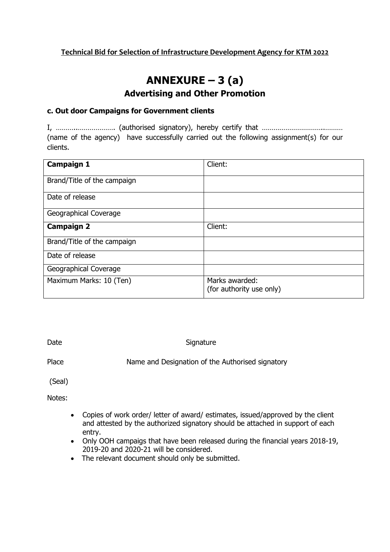## **ANNEXURE – 3 (a) Advertising and Other Promotion**

#### **c. Out door Campaigns for Government clients**

I, ………..………………. (authorised signatory), hereby certify that …………………………..……… (name of the agency) have successfully carried out the following assignment(s) for our clients.

| <b>Campaign 1</b>           | Client:                                    |
|-----------------------------|--------------------------------------------|
| Brand/Title of the campaign |                                            |
| Date of release             |                                            |
| Geographical Coverage       |                                            |
| <b>Campaign 2</b>           | Client:                                    |
| Brand/Title of the campaign |                                            |
| Date of release             |                                            |
| Geographical Coverage       |                                            |
| Maximum Marks: 10 (Ten)     | Marks awarded:<br>(for authority use only) |

Date Signature

Place Name and Designation of the Authorised signatory

(Seal)

- Copies of work order/ letter of award/ estimates, issued/approved by the client and attested by the authorized signatory should be attached in support of each entry.
- Only OOH campaigs that have been released during the financial years 2018-19, 2019-20 and 2020-21 will be considered.
- The relevant document should only be submitted.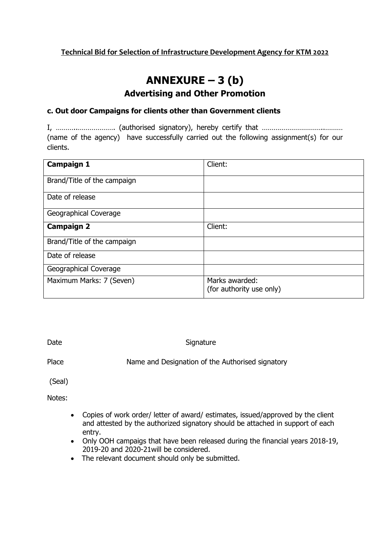## **ANNEXURE – 3 (b) Advertising and Other Promotion**

#### **c. Out door Campaigns for clients other than Government clients**

I, ………..………………. (authorised signatory), hereby certify that …………………………..……… (name of the agency) have successfully carried out the following assignment(s) for our clients.

| <b>Campaign 1</b>           | Client:                                    |
|-----------------------------|--------------------------------------------|
| Brand/Title of the campaign |                                            |
| Date of release             |                                            |
| Geographical Coverage       |                                            |
| <b>Campaign 2</b>           | Client:                                    |
| Brand/Title of the campaign |                                            |
| Date of release             |                                            |
| Geographical Coverage       |                                            |
| Maximum Marks: 7 (Seven)    | Marks awarded:<br>(for authority use only) |

Date Signature

Place Name and Designation of the Authorised signatory

(Seal)

- Copies of work order/ letter of award/ estimates, issued/approved by the client and attested by the authorized signatory should be attached in support of each entry.
- Only OOH campaigs that have been released during the financial years 2018-19, 2019-20 and 2020-21will be considered.
- The relevant document should only be submitted.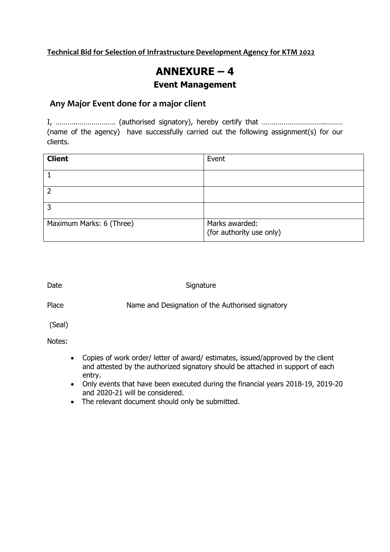## **ANNEXURE – 4**

#### **Event Management**

#### **Any Major Event done for a major client**

I, ………..………………. (authorised signatory), hereby certify that …………………………..……… (name of the agency) have successfully carried out the following assignment(s) for our clients.

| <b>Client</b>            | Event                                      |
|--------------------------|--------------------------------------------|
|                          |                                            |
|                          |                                            |
|                          |                                            |
| Maximum Marks: 6 (Three) | Marks awarded:<br>(for authority use only) |

#### Date Signature

Place Name and Designation of the Authorised signatory

(Seal)

- Copies of work order/ letter of award/ estimates, issued/approved by the client and attested by the authorized signatory should be attached in support of each entry.
- Only events that have been executed during the financial years 2018-19, 2019-20 and 2020-21 will be considered.
- The relevant document should only be submitted.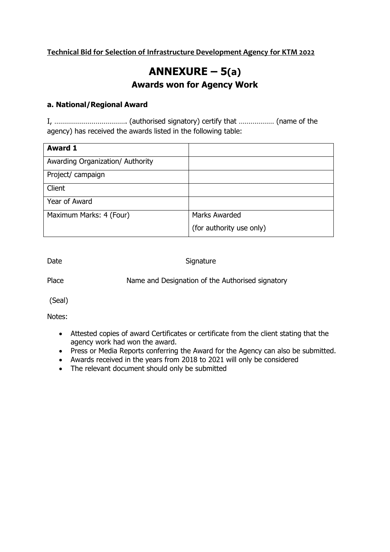# **ANNEXURE – 5(a) Awards won for Agency Work**

#### **a. National/Regional Award**

I, ………………………………. (authorised signatory) certify that ……………… (name of the agency) has received the awards listed in the following table:

| <b>Award 1</b>                   |                          |
|----------------------------------|--------------------------|
| Awarding Organization/ Authority |                          |
| Project/ campaign                |                          |
| Client                           |                          |
| Year of Award                    |                          |
| Maximum Marks: 4 (Four)          | <b>Marks Awarded</b>     |
|                                  | (for authority use only) |

Date Signature

Place Name and Designation of the Authorised signatory

(Seal)

- Attested copies of award Certificates or certificate from the client stating that the agency work had won the award.
- Press or Media Reports conferring the Award for the Agency can also be submitted.
- Awards received in the years from 2018 to 2021 will only be considered
- The relevant document should only be submitted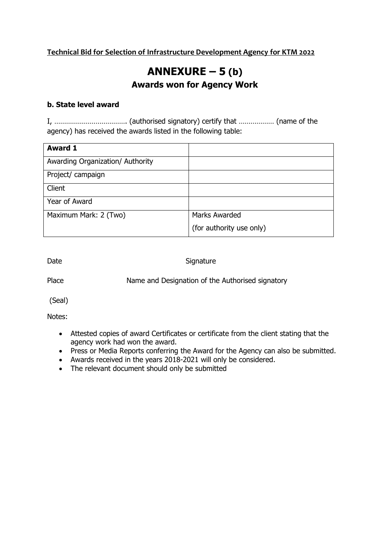## **ANNEXURE – 5 (b) Awards won for Agency Work**

#### **b. State level award**

I, ………………………………. (authorised signatory) certify that ……………… (name of the agency) has received the awards listed in the following table:

| <b>Award 1</b>                   |                          |
|----------------------------------|--------------------------|
| Awarding Organization/ Authority |                          |
| Project/ campaign                |                          |
| Client                           |                          |
| Year of Award                    |                          |
| Maximum Mark: 2 (Two)            | <b>Marks Awarded</b>     |
|                                  | (for authority use only) |

Date Signature

Place Name and Designation of the Authorised signatory

(Seal)

- Attested copies of award Certificates or certificate from the client stating that the agency work had won the award.
- Press or Media Reports conferring the Award for the Agency can also be submitted.
- Awards received in the years 2018-2021 will only be considered.
- The relevant document should only be submitted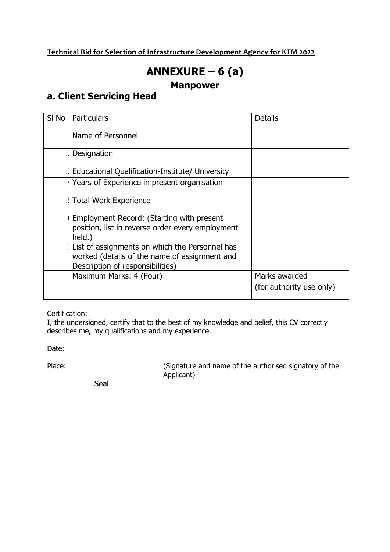# **ANNEXURE – 6 (a)**

### **Manpower**

### **a. Client Servicing Head**

| SI No | Particulars                                                                                                                         | <b>Details</b>                            |
|-------|-------------------------------------------------------------------------------------------------------------------------------------|-------------------------------------------|
|       | Name of Personnel                                                                                                                   |                                           |
|       | Designation                                                                                                                         |                                           |
|       | Educational Qualification-Institute/ University                                                                                     |                                           |
|       | Years of Experience in present organisation                                                                                         |                                           |
|       | <b>Total Work Experience</b>                                                                                                        |                                           |
|       | Employment Record: (Starting with present<br>position, list in reverse order every employment<br>held.)                             |                                           |
|       | List of assignments on which the Personnel has<br>worked (details of the name of assignment and<br>Description of responsibilities) |                                           |
|       | Maximum Marks: 4 (Four)                                                                                                             | Marks awarded<br>(for authority use only) |

Certification:

I, the undersigned, certify that to the best of my knowledge and belief, this CV correctly describes me, my qualifications and my experience.

Date:

Place: (Signature and name of the authorised signatory of the Applicant)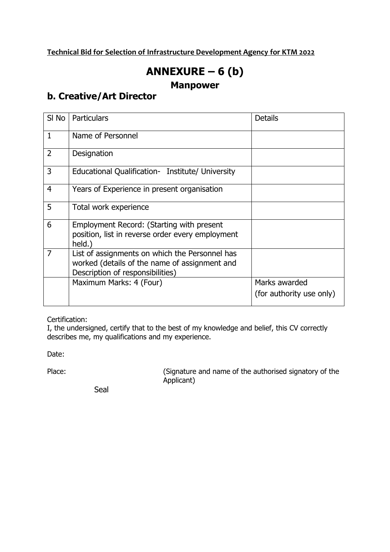# **ANNEXURE – 6 (b)**

### **Manpower**

### **b. Creative/Art Director**

| SI No          | <b>Particulars</b>                                                                                                                  | <b>Details</b>                            |
|----------------|-------------------------------------------------------------------------------------------------------------------------------------|-------------------------------------------|
| $\mathbf{1}$   | Name of Personnel                                                                                                                   |                                           |
| $\overline{2}$ | Designation                                                                                                                         |                                           |
| 3              | Educational Qualification- Institute/ University                                                                                    |                                           |
| $\overline{4}$ | Years of Experience in present organisation                                                                                         |                                           |
| 5              | Total work experience                                                                                                               |                                           |
| 6              | Employment Record: (Starting with present<br>position, list in reverse order every employment<br>held.)                             |                                           |
| 7              | List of assignments on which the Personnel has<br>worked (details of the name of assignment and<br>Description of responsibilities) |                                           |
|                | Maximum Marks: 4 (Four)                                                                                                             | Marks awarded<br>(for authority use only) |

Certification:

I, the undersigned, certify that to the best of my knowledge and belief, this CV correctly describes me, my qualifications and my experience.

Date:

Place: (Signature and name of the authorised signatory of the Applicant)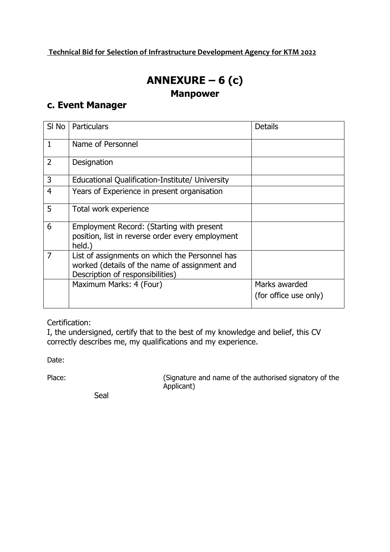# **ANNEXURE – 6 (c)**

### **Manpower**

### **c. Event Manager**

| SI No          | Particulars                                                                                                                         | <b>Details</b>                         |
|----------------|-------------------------------------------------------------------------------------------------------------------------------------|----------------------------------------|
| $\mathbf{1}$   | Name of Personnel                                                                                                                   |                                        |
| $\overline{2}$ | Designation                                                                                                                         |                                        |
| 3              | Educational Qualification-Institute/ University                                                                                     |                                        |
| $\overline{4}$ | Years of Experience in present organisation                                                                                         |                                        |
| 5              | Total work experience                                                                                                               |                                        |
| 6              | Employment Record: (Starting with present<br>position, list in reverse order every employment<br>held.)                             |                                        |
| 7              | List of assignments on which the Personnel has<br>worked (details of the name of assignment and<br>Description of responsibilities) |                                        |
|                | Maximum Marks: 4 (Four)                                                                                                             | Marks awarded<br>(for office use only) |

Certification:

I, the undersigned, certify that to the best of my knowledge and belief, this CV correctly describes me, my qualifications and my experience.

Date:

Place: (Signature and name of the authorised signatory of the Applicant)